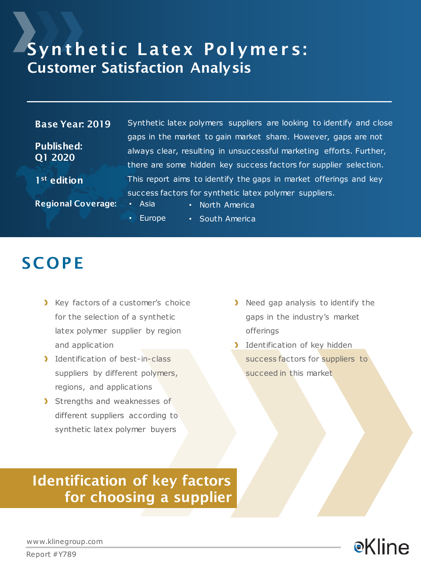### Synthetic Latex Polymers: Customer Satisfaction Analysis

#### Base Year: 2019

Published: Q1 2020

1<sup>st</sup> edition

Synthetic latex polymers suppliers are looking to identify and close gaps in the market to gain market share. However, gaps are not always clear, resulting in unsuccessful marketing efforts. Further, there are some hidden key success factors for supplier selection. This report aims to identify the gaps in market offerings and key success factors for synthetic latex polymer suppliers.

Regional Coverage: • Asia

- North America
- Europe • South America

### **SCOPE**

- X Key factors of a customer's choice for the selection of a synthetic latex polymer supplier by region and application
- Identification of best-in-class suppliers by different polymers, regions, and applications
- Strengths and weaknesses of different suppliers according to synthetic latex polymer buyers
- **Need gap analysis to identify the** gaps in the industry's market offerings
- Identification of key hidden success factors for suppliers to succeed in this market

### Identification of key factors for choosing a supplier



www.klinegroup.com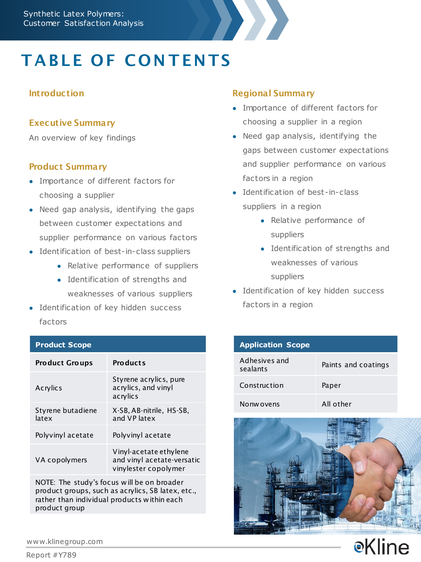

# **TABLE OF CONTENTS**

#### **Introduction**

#### Executive Summary

An overview of key findings

#### Product Summary

- Importance of different factors for choosing a supplier
- Need gap analysis, identifying the gaps between customer expectations and supplier performance on various factors
- Identification of best-in-class suppliers
	- Relative performance of suppliers
	- Identification of strengths and weaknesses of various suppliers
- Identification of key hidden success factors

#### **Product Scope**

| <b>Product Groups</b>      | <b>Products</b>                                                              |
|----------------------------|------------------------------------------------------------------------------|
| Acrylics                   | Styrene acrylics, pure<br>acrylics, and vinyl<br>acrylics                    |
| Styrene butadiene<br>latex | X-SB, AB-nitrile, HS-SB,<br>and VP latex                                     |
| Polyvinyl acetate          | Polyvinyl acetate                                                            |
| VA copolymers              | Vinyl-acetate ethylene<br>and vinyl acetate-versatic<br>vinylester copolymer |

NOTE: The study's focus will be on broader product groups, such as acrylics, SB latex, etc., rather than individual products within each product group

#### Regional Summary

- Importance of different factors for choosing a supplier in a region
- Need gap analysis, identifying the gaps between customer expectations and supplier performance on various factors in a region
- Identification of best-in-class suppliers in a region
	- Relative performance of suppliers
	- Identification of strengths and weaknesses of various suppliers
- Identification of key hidden success factors in a region

| <b>Application Scope</b>  |                     |
|---------------------------|---------------------|
| Adhesives and<br>sealants | Paints and coatings |
| Construction              | Paper               |
| Nonw ovens                | All other           |



**e**Kline

www.klinegroup.com

Report #Y789